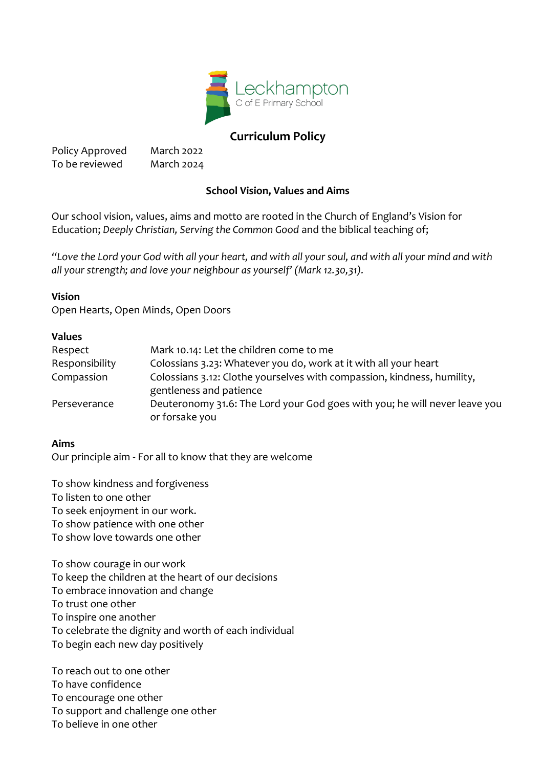

# **Curriculum Policy**

Policy Approved March 2022 To be reviewed March 2024

# **School Vision, Values and Aims**

Our school vision, values, aims and motto are rooted in the Church of England's Vision for Education; *Deeply Christian, Serving the Common Good* and the biblical teaching of;

*"Love the Lord your God with all your heart, and with all your soul, and with all your mind and with all your strength; and love your neighbour as yourself' (Mark 12.30,31).*

## **Vision**

Open Hearts, Open Minds, Open Doors

# **Values**

| Respect        | Mark 10.14: Let the children come to me                                                            |
|----------------|----------------------------------------------------------------------------------------------------|
| Responsibility | Colossians 3.23: Whatever you do, work at it with all your heart                                   |
| Compassion     | Colossians 3.12: Clothe yourselves with compassion, kindness, humility,<br>gentleness and patience |
| Perseverance   | Deuteronomy 31.6: The Lord your God goes with you; he will never leave you<br>or forsake you       |
|                |                                                                                                    |

#### **Aims**

Our principle aim - For all to know that they are welcome

To show kindness and forgiveness To listen to one other To seek enjoyment in our work. To show patience with one other To show love towards one other

To show courage in our work To keep the children at the heart of our decisions To embrace innovation and change To trust one other To inspire one another To celebrate the dignity and worth of each individual To begin each new day positively

To reach out to one other To have confidence To encourage one other To support and challenge one other To believe in one other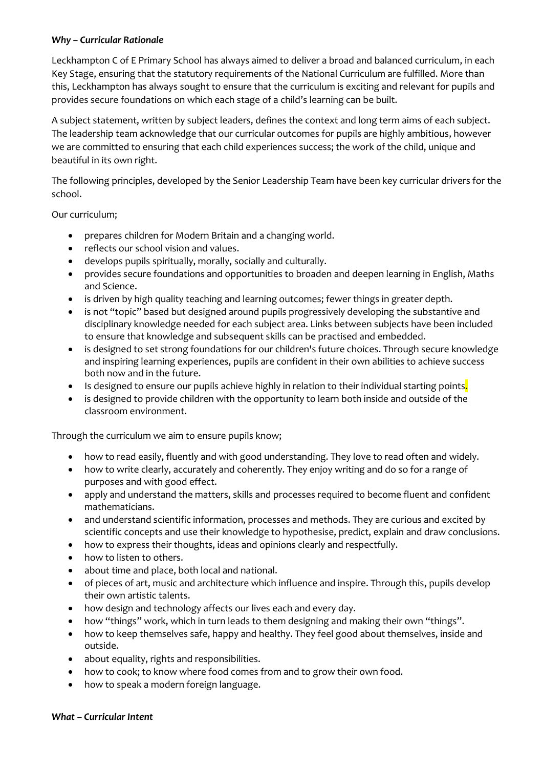#### *Why – Curricular Rationale*

Leckhampton C of E Primary School has always aimed to deliver a broad and balanced curriculum, in each Key Stage, ensuring that the statutory requirements of the National Curriculum are fulfilled. More than this, Leckhampton has always sought to ensure that the curriculum is exciting and relevant for pupils and provides secure foundations on which each stage of a child's learning can be built.

A subject statement, written by subject leaders, defines the context and long term aims of each subject. The leadership team acknowledge that our curricular outcomes for pupils are highly ambitious, however we are committed to ensuring that each child experiences success; the work of the child, unique and beautiful in its own right.

The following principles, developed by the Senior Leadership Team have been key curricular drivers for the school.

Our curriculum;

- prepares children for Modern Britain and a changing world.
- reflects our school vision and values.
- develops pupils spiritually, morally, socially and culturally.
- provides secure foundations and opportunities to broaden and deepen learning in English, Maths and Science.
- is driven by high quality teaching and learning outcomes; fewer things in greater depth.
- is not "topic" based but designed around pupils progressively developing the substantive and disciplinary knowledge needed for each subject area. Links between subjects have been included to ensure that knowledge and subsequent skills can be practised and embedded.
- is designed to set strong foundations for our children's future choices. Through secure knowledge and inspiring learning experiences, pupils are confident in their own abilities to achieve success both now and in the future.
- Is designed to ensure our pupils achieve highly in relation to their individual starting points.
- is designed to provide children with the opportunity to learn both inside and outside of the classroom environment.

Through the curriculum we aim to ensure pupils know;

- how to read easily, fluently and with good understanding. They love to read often and widely.
- how to write clearly, accurately and coherently. They enjoy writing and do so for a range of purposes and with good effect.
- apply and understand the matters, skills and processes required to become fluent and confident mathematicians.
- and understand scientific information, processes and methods. They are curious and excited by scientific concepts and use their knowledge to hypothesise, predict, explain and draw conclusions.
- how to express their thoughts, ideas and opinions clearly and respectfully.
- how to listen to others.
- about time and place, both local and national.
- of pieces of art, music and architecture which influence and inspire. Through this, pupils develop their own artistic talents.
- how design and technology affects our lives each and every day.
- how "things" work, which in turn leads to them designing and making their own "things".
- how to keep themselves safe, happy and healthy. They feel good about themselves, inside and outside.
- about equality, rights and responsibilities.
- how to cook; to know where food comes from and to grow their own food.
- how to speak a modern foreign language.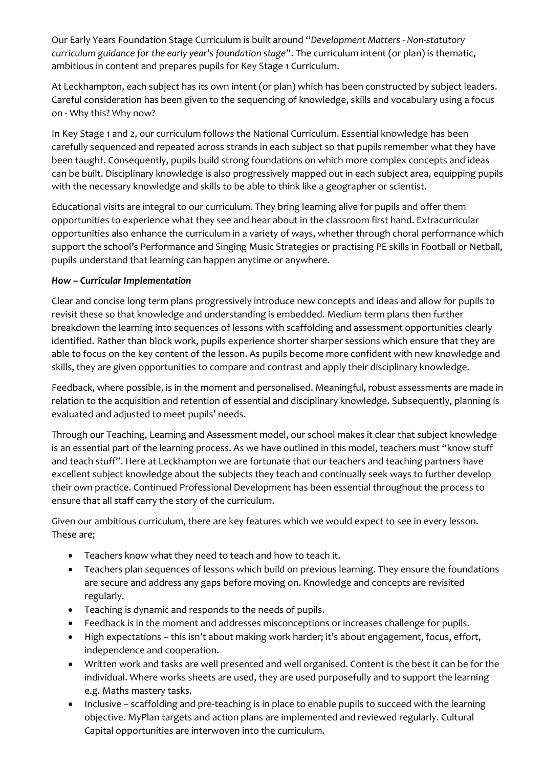Our Early Years Foundation Stage Curriculum is built around "*Development Matters - Non-statutory curriculum guidance for the early year's foundation stage"*. The curriculum intent (or plan) is thematic, ambitious in content and prepares pupils for Key Stage 1 Curriculum.

At Leckhampton, each subject has its own intent (or plan) which has been constructed by subject leaders. Careful consideration has been given to the sequencing of knowledge, skills and vocabulary using a focus on - Why this? Why now?

In Key Stage 1 and 2, our curriculum follows the National Curriculum. Essential knowledge has been carefully sequenced and repeated across strands in each subject so that pupils remember what they have been taught. Consequently, pupils build strong foundations on which more complex concepts and ideas can be built. Disciplinary knowledge is also progressively mapped out in each subject area, equipping pupils with the necessary knowledge and skills to be able to think like a geographer or scientist.

Educational visits are integral to our curriculum. They bring learning alive for pupils and offer them opportunities to experience what they see and hear about in the classroom first hand. Extracurricular opportunities also enhance the curriculum in a variety of ways, whether through choral performance which support the school's Performance and Singing Music Strategies or practising PE skills in Football or Netball, pupils understand that learning can happen anytime or anywhere.

### *How – Curricular Implementation*

Clear and concise long term plans progressively introduce new concepts and ideas and allow for pupils to revisit these so that knowledge and understanding is embedded. Medium term plans then further breakdown the learning into sequences of lessons with scaffolding and assessment opportunities clearly identified. Rather than block work, pupils experience shorter sharper sessions which ensure that they are able to focus on the key content of the lesson. As pupils become more confident with new knowledge and skills, they are given opportunities to compare and contrast and apply their disciplinary knowledge.

Feedback, where possible, is in the moment and personalised. Meaningful, robust assessments are made in relation to the acquisition and retention of essential and disciplinary knowledge. Subsequently, planning is evaluated and adjusted to meet pupils' needs.

Through our Teaching, Learning and Assessment model, our school makes it clear that subject knowledge is an essential part of the learning process. As we have outlined in this model, teachers must "know stuff and teach stuff". Here at Leckhampton we are fortunate that our teachers and teaching partners have excellent subject knowledge about the subjects they teach and continually seek ways to further develop their own practice. Continued Professional Development has been essential throughout the process to ensure that all staff carry the story of the curriculum.

Given our ambitious curriculum, there are key features which we would expect to see in every lesson. These are;

- Teachers know what they need to teach and how to teach it.
- Teachers plan sequences of lessons which build on previous learning. They ensure the foundations are secure and address any gaps before moving on. Knowledge and concepts are revisited regularly.
- Teaching is dynamic and responds to the needs of pupils.
- Feedback is in the moment and addresses misconceptions or increases challenge for pupils.
- High expectations this isn't about making work harder; it's about engagement, focus, effort, independence and cooperation.
- Written work and tasks are well presented and well organised. Content is the best it can be for the individual. Where works sheets are used, they are used purposefully and to support the learning e.g. Maths mastery tasks.
- Inclusive scaffolding and pre-teaching is in place to enable pupils to succeed with the learning objective. MyPlan targets and action plans are implemented and reviewed regularly. Cultural Capital opportunities are interwoven into the curriculum.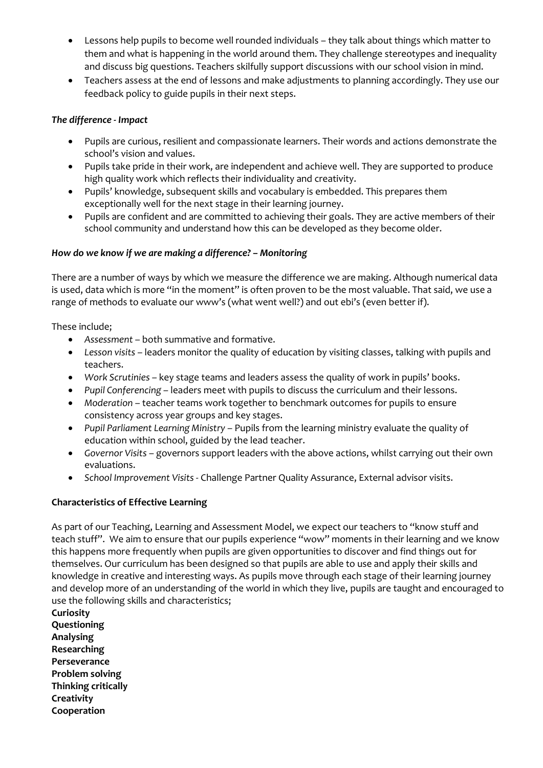- Lessons help pupils to become well rounded individuals they talk about things which matter to them and what is happening in the world around them. They challenge stereotypes and inequality and discuss big questions. Teachers skilfully support discussions with our school vision in mind.
- Teachers assess at the end of lessons and make adjustments to planning accordingly. They use our feedback policy to guide pupils in their next steps.

#### *The difference - Impact*

- Pupils are curious, resilient and compassionate learners. Their words and actions demonstrate the school's vision and values.
- Pupils take pride in their work, are independent and achieve well. They are supported to produce high quality work which reflects their individuality and creativity.
- Pupils' knowledge, subsequent skills and vocabulary is embedded. This prepares them exceptionally well for the next stage in their learning journey.
- Pupils are confident and are committed to achieving their goals. They are active members of their school community and understand how this can be developed as they become older.

### *How do we know if we are making a difference? – Monitoring*

There are a number of ways by which we measure the difference we are making. Although numerical data is used, data which is more "in the moment" is often proven to be the most valuable. That said, we use a range of methods to evaluate our www's (what went well?) and out ebi's (even better if).

These include;

- *Assessment* both summative and formative.
- *Lesson visits* leaders monitor the quality of education by visiting classes, talking with pupils and teachers.
- *Work Scrutinies* key stage teams and leaders assess the quality of work in pupils' books.
- *Pupil Conferencing* leaders meet with pupils to discuss the curriculum and their lessons.
- *Moderation* teacher teams work together to benchmark outcomes for pupils to ensure consistency across year groups and key stages.
- *Pupil Parliament Learning Ministry* Pupils from the learning ministry evaluate the quality of education within school, guided by the lead teacher.
- *Governor Visits* governors support leaders with the above actions, whilst carrying out their own evaluations.
- *School Improvement Visits* Challenge Partner Quality Assurance, External advisor visits.

## **Characteristics of Effective Learning**

As part of our Teaching, Learning and Assessment Model, we expect our teachers to "know stuff and teach stuff". We aim to ensure that our pupils experience "wow" moments in their learning and we know this happens more frequently when pupils are given opportunities to discover and find things out for themselves. Our curriculum has been designed so that pupils are able to use and apply their skills and knowledge in creative and interesting ways. As pupils move through each stage of their learning journey and develop more of an understanding of the world in which they live, pupils are taught and encouraged to use the following skills and characteristics;

**Curiosity Questioning Analysing Researching Perseverance Problem solving Thinking critically Creativity Cooperation**